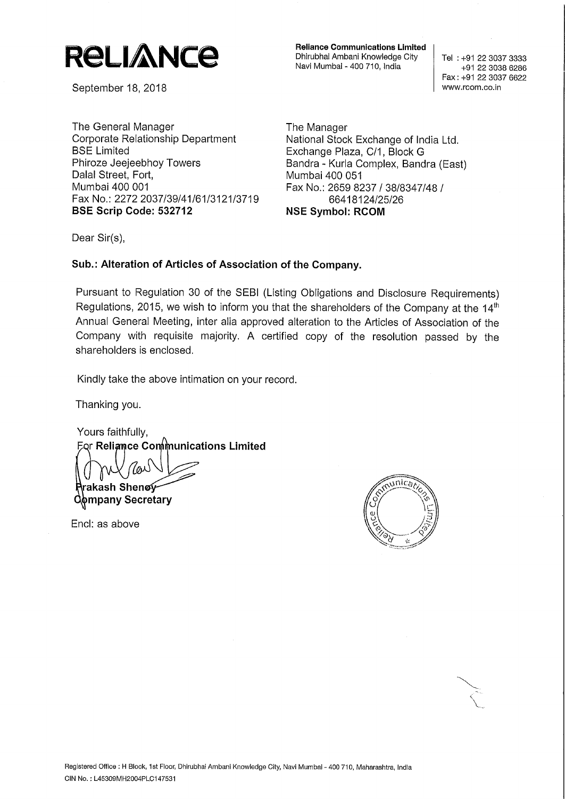

September 18, 2018

The General Manager<br>Corporate Relationship Department Mational Stock Corporate Relationship Department National Stock Exchange of India Ltd.<br>BSE Limited BSE Limited Phiroze Jeejeebhoy Towers Bandra - Kurla C<br>Dalal Street, Fort, Bandra 100 051 Dalal Street, Fort,<br>Mumbai 400 001 Fax No.: 2272 2037/39/41/61/3121/3719 66418124/25<br>BSE Scrip Code: 532712 NSE Symbol: RCOM BSE Scrip Code: 532712

Reliance Communications Limited Dhirubhai Ambani Knowledge City | Tel : +91 22 3037 3333 Navi Mumbai - 400 710, India

+91 22 3038 6286 Fax: +91 22 3037 6622

Exchange Plaza, C/1, Block G Bandra - Kurla Complex, Bandra (East) Fax No.: 2659 8237 / 38/8347/48 /<br>66418124/25/26

Dear Sir(s),

## Sub.: Alteration of Articles of Association of the Company.

Pursuant to Regulation <sup>30</sup> of the SEBI (Listing Obligations and Disclosure Requirements) Regulations, 2015, we wish to inform you that the shareholders of the Company at the  $14<sup>th</sup>$ Annual General Meeting, inter alia approved alteration to the Articles of Association of the Company with requisite majority. A certified copy of the resolution passed by the shareholders is enclosed.

Kindly take the above intimation on your record.

Thanking you.

Yours faithfully, MU ∫*lo*<br>Rrakash Shen **Eor Reliance Communications Limited Company Secretary** 

Encl: as above



,,/,/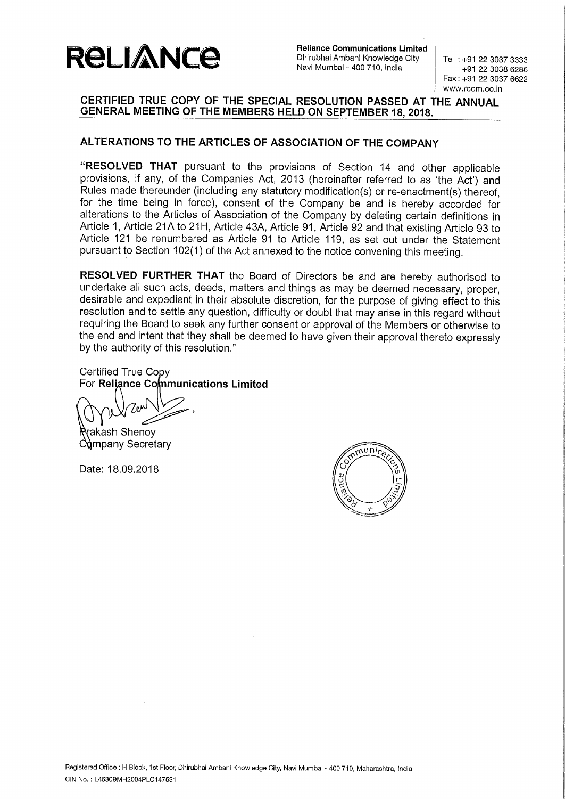

Reliance Communications Limited Dhirubhai Ambani Knowledge City | Tel : +91 22 3037 3333 Navi Mumbai - 400 710, India

+91 22 3038 6286 Fax: +91 22 3037 6622 www.rcom.co.in

## CERTIFIED TRUE COPY OF THE SPECIAL RESOLUTION PASSED AT THE ANNUAL GENERAL MEETING OF THE MEMBERS HELD ON SEPTEMBER 18, 2018.

## ALTERATIONS TO THE ARTICLES OF ASSOCIATION OF THE COMPANY

"RESOLVED THAT pursuant to the provisions of Section <sup>14</sup> and other applicable provisions, if any, of the Companies Act, 2013 (hereinafter referred to as 'the Act') and Rules made thereunder (including any statutory modification(s) or re-enactment(s) thereof, for the time being in force), consent of the Company be and is hereby accorded for alterations to the Articles of Association of the Company by deleting certain definitions in Article 1, Article 21A to 21H, Article 43A, Article 91, Article 92 and that existing Article 93 to Article <sup>121</sup> be renumbered as Article <sup>91</sup> to Article 119, as set out under the Statement pursuant to Section 102(1) of the Act annexed to the notice convening this meeting.

RESOLVED FURTHER THAT the Board of Directors be and are hereby authorised to undertake all such acts, deeds, matters and things as may be deemed necessary, proper, desirable and expedient in their absolute discretion, for the purpose of giving effect to this resolution and to settle any question, difficulty or doubt that may arise in this regard without requiring the Board to seek any further consent or approval of the Members or otherwise to the end and intent that they shall be deemed to have given their approval thereto expressly by the authority of this resolution."

Certified True Copy For Reliance Communications Limited

akash Shenoy Company Secretary

Date: 18.09.2018

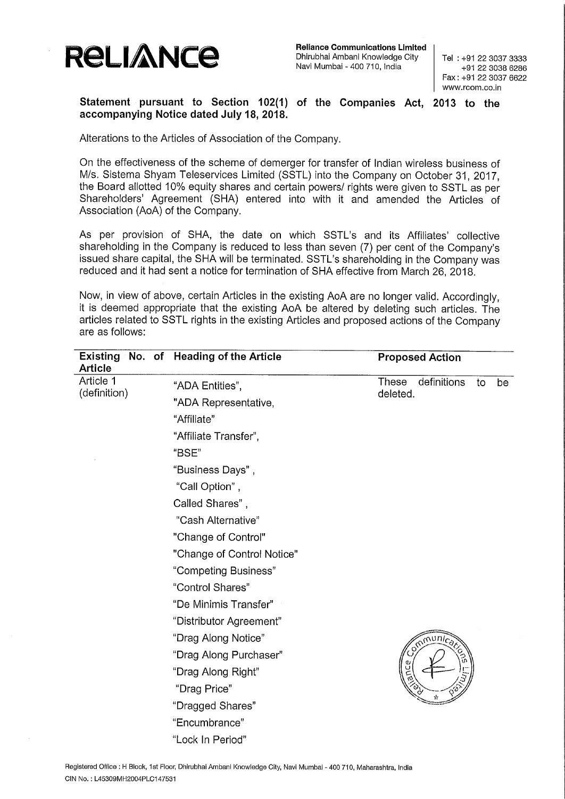

Reliance Communications Limited Dhirubhai Ambani Knowledge City Navi Mumbai — 400 710, India

Tel : +91 22 3087 8333 +91 22 3038 6286 Fax: +91 22 3087 6622 www.rcom.co.in

## Statement pursuant to Section 102(1) of the Companies Act, 2013 to the accompanying Notice dated July 18, 2018.

Alterations to the Articles of Association of the Company.

On the effectiveness of the scheme of demerger for transfer of Indian wireless business of M/s. Sistema Shyam Teleservices Limited (SSTL) into the Company on October 31, 2017, the Board allotted 10% equity shares and certain powers/ rights were given to SSTL as per Shareholders' Agreement (SHA) entered into with it and amended the Articles of Association (AoA) of the Company.

As per provision of SHA, the date on which SSTL's and its Affiliates' collective shareholding in the Company is reduced to less than seven (7) per cent of the Company's issued share capital, the SHA will be terminated. SSTL's shareholding in the Company was reduced and it had sent a notice for termination of SHA effective from March 26, 2018.

Now, in view of above, certain Articles in the existing AoA are no longer valid. Accordingly, it is deemed appropriate that the existing AoA be altered by deleting such articles. The articles related to SSTL rights in the existing Articles and proposed actions of the Company are as follows:

| <b>Article</b>            | Existing No. of Heading of the Article | <b>Proposed Action</b>                       |
|---------------------------|----------------------------------------|----------------------------------------------|
| Article 1<br>(definition) | "ADA Entities",                        | definitions<br>These<br>be<br>to<br>deleted. |
|                           | "ADA Representative,                   |                                              |
|                           | "Affiliate"                            |                                              |
|                           | "Affiliate Transfer",                  |                                              |
|                           | "BSE"                                  |                                              |
|                           | "Business Days",                       |                                              |
|                           | "Call Option",                         |                                              |
|                           | Called Shares",                        |                                              |
|                           | "Cash Alternative"                     |                                              |
|                           | "Change of Control"                    |                                              |
|                           | "Change of Control Notice"             |                                              |
|                           | "Competing Business"                   |                                              |
|                           | "Control Shares"                       |                                              |
|                           | "De Minimis Transfer"                  |                                              |
|                           | "Distributor Agreement"                |                                              |
|                           | "Drag Along Notice"                    | Smmunicar                                    |
|                           | "Drag Along Purchaser"                 |                                              |
|                           | "Drag Along Right"                     | ن<br>آرم                                     |
|                           | "Drag Price"                           | స                                            |
|                           | "Dragged Shares"                       |                                              |
|                           | "Encumbrance"                          |                                              |
|                           | "Lock In Period"                       |                                              |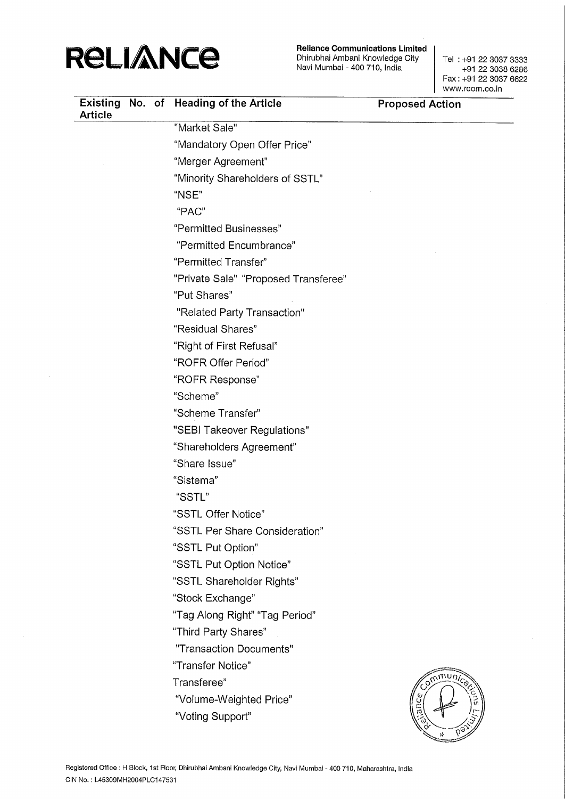

Reliance Communications Limited<br>Dhirubhai Ambani Knowledge City | Tel : +91 22 3037 3333 Navi Mumbai - 400 710, India

+91 22 3038 6286 Fax: +91 22 3037 6622 www.rcom.co.in

| <b>Article</b> |  | Existing No. of Heading of the Article | <b>Proposed Action</b> |
|----------------|--|----------------------------------------|------------------------|
|                |  | "Market Sale"                          |                        |
|                |  | "Mandatory Open Offer Price"           |                        |
|                |  | "Merger Agreement"                     |                        |
|                |  | "Minority Shareholders of SSTL"        |                        |
|                |  | "NSE"                                  |                        |
|                |  | "PAC"                                  |                        |
|                |  | "Permitted Businesses"                 |                        |
|                |  | "Permitted Encumbrance"                |                        |
|                |  | "Permitted Transfer"                   |                        |
|                |  | "Private Sale" "Proposed Transferee"   |                        |
|                |  | "Put Shares"                           |                        |
|                |  | "Related Party Transaction"            |                        |
|                |  | "Residual Shares"                      |                        |
|                |  | "Right of First Refusal"               |                        |
|                |  | "ROFR Offer Period"                    |                        |
|                |  | "ROFR Response"                        |                        |
|                |  | "Scheme"                               |                        |
|                |  | "Scheme Transfer"                      |                        |
|                |  | "SEBI Takeover Regulations"            |                        |
|                |  | "Shareholders Agreement"               |                        |
|                |  | "Share Issue"                          |                        |
|                |  | "Sistema"                              |                        |
|                |  | "SSTL"                                 |                        |
|                |  | "SSTL Offer Notice"                    |                        |
|                |  | "SSTL Per Share Consideration"         |                        |
|                |  | "SSTL Put Option"                      |                        |
|                |  | "SSTL Put Option Notice"               |                        |
|                |  | "SSTL Shareholder Rights"              |                        |
|                |  | "Stock Exchange"                       |                        |
|                |  | "Tag Along Right" "Tag Period"         |                        |
|                |  | "Third Party Shares"                   |                        |
|                |  | "Transaction Documents"                |                        |
|                |  | "Transfer Notice"                      |                        |
|                |  | Transferee"                            | Cumming                |
|                |  | "Volume-Weighted Price"                |                        |
|                |  | "Voting Support"                       | 后                      |
|                |  |                                        |                        |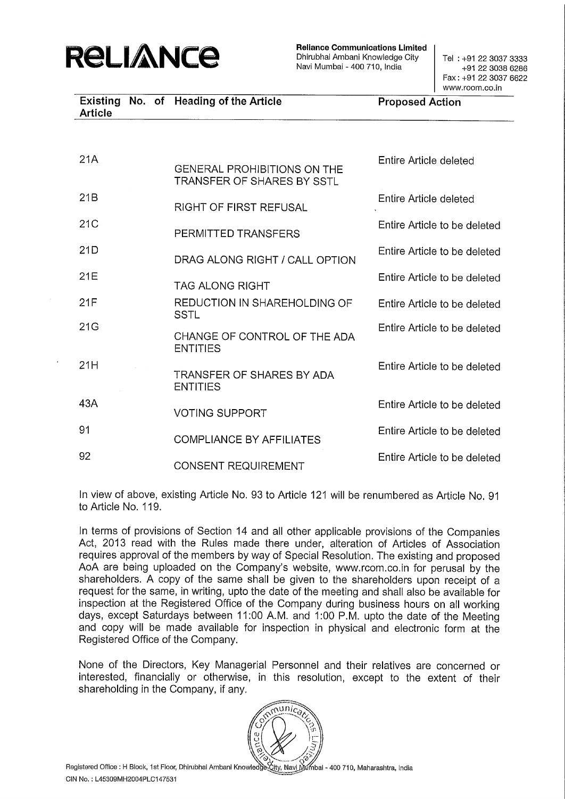

Reliance Communications Limited Dhirubhai Ambani Knowledge City | Tel: +91 22 3037 3333 Navi Mumbai - 400 710, India

+91 22 3038 6286 Fax: +91 22 3087 6622 www.rcom.co.in

|         |  | Existing No. of Heading of the Article | <b>Proposed Action</b> |
|---------|--|----------------------------------------|------------------------|
| Article |  |                                        |                        |

| 21A | <b>GENERAL PROHIBITIONS ON THE</b><br>TRANSFER OF SHARES BY SSTL | Entire Article deleted       |
|-----|------------------------------------------------------------------|------------------------------|
| 21B | RIGHT OF FIRST REFUSAL                                           | Entire Article deleted       |
| 21C | PERMITTED TRANSFERS                                              | Entire Article to be deleted |
| 21D | DRAG ALONG RIGHT / CALL OPTION                                   | Entire Article to be deleted |
| 21E | TAG ALONG RIGHT                                                  | Entire Article to be deleted |
| 21F | REDUCTION IN SHAREHOLDING OF<br>SSTL                             | Entire Article to be deleted |
| 21G | CHANGE OF CONTROL OF THE ADA<br><b>ENTITIES</b>                  | Entire Article to be deleted |
| 21H | TRANSFER OF SHARES BY ADA<br><b>ENTITIES</b>                     | Entire Article to be deleted |
| 43A | <b>VOTING SUPPORT</b>                                            | Entire Article to be deleted |
| 91  | <b>COMPLIANCE BY AFFILIATES</b>                                  | Entire Article to be deleted |
| 92  | <b>CONSENT REQUIREMENT</b>                                       | Entire Article to be deleted |

In view of above, existing Article No. 93 to Article <sup>121</sup> will be renumbered as Article No. <sup>91</sup> to Article No. 119.

In terms of provisions of Section 14 and all other applicable provisions of the Companies Act, 2013 read with the Rules made there under, alteration of Articles of Association requires approval of the members by way of Special Resolution. The existing and proposed AoA are being uploaded on the Company's website, www.rcom.co.in for perusal by the shareholders. A copy of the same shall be given to the shareholders upon receipt of <sup>a</sup> request for the same, in writing, upto the date of the meeting and shall also be available for inspection at the Registered Office of the Company during business hours on all working days, except Saturdays between 11:00 A.M. and 1:00 P.M. upto the date of the Meeting and copy will be made available for inspection in physical and electronic form at the Registered Office of the Company.

None of the Directors, Key Managerial Personnel and their relatives are concerned or interested, financially or otherwise, in this resolution, except to the extent of their shareholding in the Company, if any.